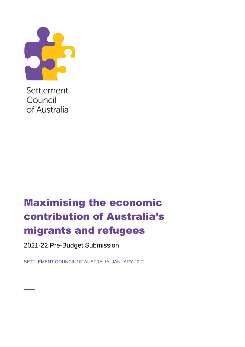

Settlement Council of Australia

# Maximising the economic contribution of Australia's migrants and refugees

2021-22 Pre-Budget Submission

**\_**

SETTLEMENT COUNCIL OF AUSTRALIA, JANUARY 2021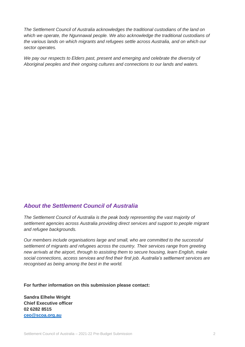*The Settlement Council of Australia acknowledges the traditional custodians of the land on which we operate, the Ngunnawal people. We also acknowledge the traditional custodians of the various lands on which migrants and refugees settle across Australia, and on which our sector operates.*

*We pay our respects to Elders past, present and emerging and celebrate the diversity of Aboriginal peoples and their ongoing cultures and connections to our lands and waters.*

### *About the Settlement Council of Australia*

*The Settlement Council of Australia is the peak body representing the vast majority of settlement agencies across Australia providing direct services and support to people migrant and refugee backgrounds.* 

*Our members include organisations large and small, who are committed to the successful settlement of migrants and refugees across the country. Their services range from greeting new arrivals at the airport, through to assisting them to secure housing, learn English, make social connections, access services and find their first job. Australia's settlement services are recognised as being among the best in the world.* 

**For further information on this submission please contact:** 

**Sandra Elhelw Wright Chief Executive officer 02 6282 8515 [ceo@scoa.org.au](mailto:ceo@scoa.org.au)**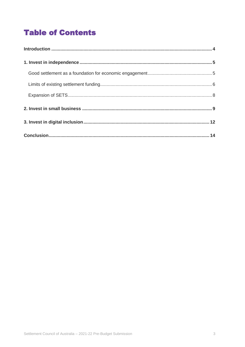## **Table of Contents**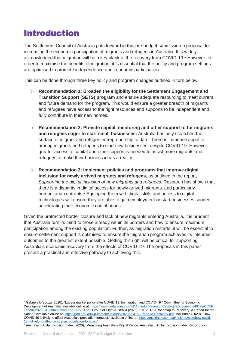## <span id="page-3-0"></span>Introduction

The Settlement Council of Australia puts forward in this pre-budget submission a proposal for increasing the economic participation of migrants and refugees in Australia. It is widely acknowledged that migration will be a key plank of the recovery from COVID-19.<sup>1</sup> However, in order to maximise the benefits of migration, it is essential that the policy and program settings are optimised to promote independence and economic participation.

This can be done through three key policy and program changes outlined in turn below.

- **Recommendation 1: Broaden the eligibility for the Settlement Engagement and Transition Support (SETS) program** and ensure adequate resourcing to meet current and future demand for the program. This would ensure a greater breadth of migrants and refugees have access to the right resources and supports to be independent and fully contribute in their new homes.
- **Recommendation 2: Provide capital, mentoring and other support to for migrants and refugees eager to start small businesses.** Australia has only scratched the surface of migrant and refugee entreprenership to date. There is immense appetite among migrants and refugees to start new businesses, despite COVID-19. However, greater access to capital and other support is needed to assist more migrants and refugees to make their business ideas a reality.
- **Recommendation 3: Implement policies and programs that improve digital inclusion for newly arrived migrants and refugees,** as outlined in the report, *Supporting the digital inclusion of new migrants and refugees.* Research has shown that there is a disparity in digital access for newly arrived migrants, and particularly humanitarian entrants.<sup>2</sup> Equipping them with digital skills and access to digital technologies will ensure they are able to gain employment or start businesses sooner, accelerating their economic contributions.

Given the protracted border closure and lack of new migrants entering Australia, it is prudent that Australia turn its mind to those already within its borders and how to ensure maximum participation among the existing population. Further, as migration restarts, it will be essential to ensure settlement support is optimised to ensure the migration program achieves its intended outcomes to the greatest extent possible. Getting this right will be critical for supporting Australia's economic recovery from the effects of COVID-19. The proposals in this paper present a practical and effective pathway to achieving this.

<sup>1</sup> Gabriela D'Souza (2020), "Labour market policy after COVID-19: Immigration and COVID-19," Committee for Economic Development of Australia, available online at: [https://www.ceda.com.au/CEDA/media/ResearchCatalogueDocuments/PDFs/CCEP-](https://www.ceda.com.au/CEDA/media/ResearchCatalogueDocuments/PDFs/CCEP-Labour-2020-GD-immigration-and-COVID.pdf)[Labour-2020-GD-immigration-and-COVID.pdf;](https://www.ceda.com.au/CEDA/media/ResearchCatalogueDocuments/PDFs/CCEP-Labour-2020-GD-immigration-and-COVID.pdf) Group of Eight Australia (2020), "COVID-19 Roadmap to Recovery: A Report for the Nation," available online at: [https://go8.edu.au/wp-content/uploads/2020/05/Go8-Road-to-Recovery.pdf;](https://go8.edu.au/wp-content/uploads/2020/05/Go8-Road-to-Recovery.pdf) McCrindle (2020), "How COVID-19 is likely to affect Australia's population forecast," available online at: [https://mccrindle.com.au/insights/blog/how-covid-](https://mccrindle.com.au/insights/blog/how-covid-19-is-likely-to-affect-australias-population-forecast/)[19-is-likely-to-affect-australias-population-forecast/.](https://mccrindle.com.au/insights/blog/how-covid-19-is-likely-to-affect-australias-population-forecast/)

<sup>&</sup>lt;sup>2</sup> Australian Digital Inclusion Index (2020), 'Measuring Australia's Digital Divide: Australian Digital Inclusion Index Report', p.20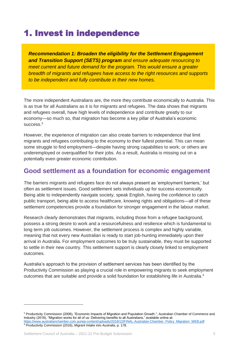## <span id="page-4-0"></span>1. Invest in independence

*Recommendation 1: Broaden the eligibility for the Settlement Engagement and Transition Support (SETS) program and ensure adequate resourcing to meet current and future demand for the program. This would ensure a greater breadth of migrants and refugees have access to the right resources and supports to be independent and fully contribute in their new homes.*

The more independent Australians are, the more they contribute economically to Australia. This is as true for all Australians as it is for migrants and refugees. The data shows that migrants and refugees overall, have high levels of independence and contribute greatly to our economy—so much so, that migration has become a key pillar of Australia's economic success.<sup>3</sup>

However, the experience of migration can also create barriers to independence that limit migrants and refugees contributing to the economy to their fullest potential. This can mean some struggle to find employment—despite having strong capabilities to work; or others are underemployed or overqualified for their jobs. As a result, Australia is missing out on a potentially even greater economic contribution.

### <span id="page-4-1"></span>**Good settlement as a foundation for economic engagement**

The barriers migrants and refugees face do not always present as 'employment barriers,' but often as settlement issues. Good settlement sets individuals up for success economically. Being able to independently navigate society, speak English, having the confidence to catch public transport, being able to access healthcare, knowing rights and obligations—all of these settlement competencies provide a foundation for stronger engagement in the labour market.

Research clearly demonstrates that migrants, including those from a refugee background, possess a strong desire to work and a resourcefulness and resilience which is fundamental to long term job outcomes. However, the settlement process is complex and highly variable, meaning that not every new Australian is ready to start job-hunting immediately upon their arrival in Australia. For employment outcomes to be truly sustainable, they must be supported to settle in their new country. This settlement support is clearly closely linked to employment outcomes.

Australia's approach to the provision of settlement services has been identified by the Productivity Commission as playing a crucial role in empowering migrants to seek employment outcomes that are suitable and provide a solid foundation for establishing life in Australia.<sup>4</sup>

<sup>&</sup>lt;sup>3</sup> Productivity Commission (2006), "Economic Impacts of Migration and Population Growth."; Australian Chamber of Commerce and Industry (2018), "Migration works for all of us: Delivering benefits to all Australians," available online at: [https://www.australianchamber.com.au/wp-content/uploads/2018/12/FINAL-Australian-Chamber\\_Policy\\_Migration\\_WEB.pdf](https://www.australianchamber.com.au/wp-content/uploads/2018/12/FINAL-Australian-Chamber_Policy_Migration_WEB.pdf) <sup>4</sup> Productivity Commission (2016), *Migrant Intake into Australia*, p. 178.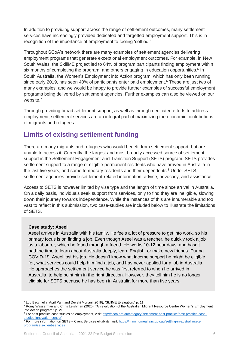In addition to providing support across the range of settlement outcomes, many settlement services have increasingly provided dedicated and targetted employment support. This is in recognition of the importance of employment to feeling 'settled.'

Throughout SCoA's network there are many examples of settlement agencies delivering employment programs that generate exceptional employment outcomes. For example, in New South Wales, the SkillME project led to 64% of program participants finding employment within six months of completing the program, and others engaging in education opportunities.<sup>5</sup> In South Australia, the Women's Employment into Action program, which has only been running since early 2019, has seen 40% of participants enter paid employment.<sup>6</sup> These are just two of many examples, and we would be happy to provide further examples of successful employment programs being delivered by settlement agencies. Further examples can also be viewed on our website. 7

Through providing broad settlement support, as well as through dedicated efforts to address employment, settlement services are an integral part of maximizing the economic contributions of migrants and refugees.

### <span id="page-5-0"></span>**Limits of existing settlement funding**

There are many migrants and refugees who would benefit from settlement support, but are unable to access it. Currently, the largest and most broadly accessed source of settlement support is the Settlement Engagement and Transition Support (SETS) program. SETS provides settlement support to a range of eligible permanent residents who have arrived in Australia in the last five years, and some temporary residents and their dependents.<sup>8</sup> Under SETS, settlement agencies provide settlement-related information, advice, advocacy, and assistance.

Access to SETS is however limited by visa type and the length of time since arrival in Australia. On a daily basis, individuals seek support from services, only to find they are ineligible, slowing down their journey towards independence. While the instances of this are innumerable and too vast to reflect in this submission, two case-studies are included below to illustrate the limitations of SETS.

#### **Case study: Aseel**

Aseel arrives in Australia with his family. He feels a lot of pressure to get into work, so his primary focus is on finding a job. Even though Aseel was a teacher, he quickly took a job as a labourer, which he found through a friend. He works 10-12 hour days, and hasn't had the time to learn about Australia deeply, learn English, or make new friends. During COVID-19, Aseel lost his job. He doesn't know what income support he might be eligible for, what services could help him find a job, and has never applied for a job in Australia. He approaches the settlement service he was first referred to when he arrived in Australia, to help point him in the right direction. However, they tell him he is no longer eligible for SETS because he has been in Australia for more than five years.

<sup>5</sup> Lou Bacchiella, April Pan, and Devaki Monani (2018), "SkillME Evaluation," p. 11.

<sup>6</sup> Romy Wasserman and Chris Leishman (2020), "An evaluation of the Australian Migrant Resource Centre Women's Employment into Action program," p. 21.

<sup>&</sup>lt;sup>7</sup> For best-practice case studies on employment, visit: [http://scoa.org.au/category/settlement-best-practice/best-practice-case](http://scoa.org.au/category/settlement-best-practice/best-practice-case-studies-innovation-centre/)[studies-innovation-centre/](http://scoa.org.au/category/settlement-best-practice/best-practice-case-studies-innovation-centre/)

<sup>&</sup>lt;sup>8</sup> For more information on SETS – Client Services eligibility, visit[: https://immi.homeaffairs.gov.au/settling-in-australia/sets](https://immi.homeaffairs.gov.au/settling-in-australia/sets-program/sets-client-services)[program/sets-client-services](https://immi.homeaffairs.gov.au/settling-in-australia/sets-program/sets-client-services)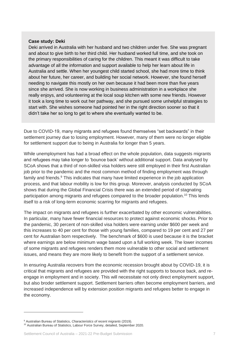#### **Case study: Deki**

Deki arrived in Australia with her husband and two children under five. She was pregnant and about to give birth to her third child. Her husband worked full time, and she took on the primary responsibilities of caring for the children. This meant it was difficult to take advantage of all the information and support available to help her learn about life in Australia and settle. When her youngest child started school, she had more time to think about her future, her career, and building her social network. However, she found herself needing to navigate this mostly on her own because it had been more than five years since she arrived. She is now working in business administration in a workplace she really enjoys, and volunteering at the local soup kitchen with some new friends. However it took a long time to work out her pathway, and she pursued some unhelpful strategies to start with. She wishes someone had pointed her in the right direction sooner so that it didn't take her so long to get to where she eventually wanted to be.

Due to COVID-19, many migrants and refugees found themselves "set backwards" in their settlement journey due to losing employment. However, many of them were no longer eligible for settlement support due to being in Australia for longer than 5 years.

While unemployment has had a broad effect on the whole population, data suggests migrants and refugees may take longer to 'bounce back' without additional support. Data analysed by SCoA shows that a third of non-skilled visa holders were still employed in their first Australian job prior to the pandemic and the most common method of finding employment was through family and friends.<sup>9</sup> This indicates that many have limited experience in the job application process, and that labour mobility is low for this group. Moreover, analysis conducted by SCoA shows that during the Global Financial Crisis there was an extended period of stagnating participation among migrants and refugees compared to the broader population.<sup>10</sup> This lends itself to a risk of long-term economic scarring for migrants and refugees.

The impact on migrants and refugees is further exacerbated by other economic vulnerabilities. In particular, many have fewer financial resources to protect against economic shocks. Prior to the pandemic, 30 percent of non-skilled visa holders were earning under \$600 per week and this increases to 40 per cent for those with young families, compared to 19 per cent and 27 per cent for Australian born respectively. The benchmark of \$600 is used because it is the bracket where earnings are below minimum wage based upon a full working week. The lower incomes of some migrants and refugees renders them more vulnerable to other social and settlement issues, and means they are more likely to benefit from the support of a settlement service.

In ensuring Australia recovers from the economic recession brought about by COVID-19, it is critical that migrants and refugees are provided with the right supports to bounce back, and reengage in employment and in society. This will necessitate not only direct employment support, but also broder settlement support. Settlement barriers often become employment barriers, and increased independence will by extension position migrants and refugees better to engage in the economy.

<sup>9</sup> Australian Bureau of Statistics, *Characteristics of recent migrants* (2019).

<sup>10</sup> Australian Bureau of Statistics, Labour Force Survey, detailed, September 2020.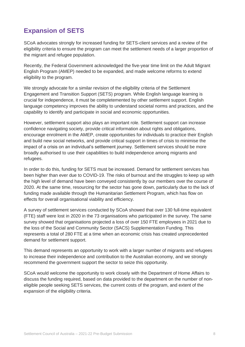### <span id="page-7-0"></span>**Expansion of SETS**

SCoA advocates strongly for increased funding for SETS-client services and a review of the eligibility criteria to ensure the program can meet the settlement needs of a larger proportion of the migrant and refugee population.

Recently, the Federal Government acknowledged the five-year time limit on the Adult Migrant English Program (AMEP) needed to be expanded, and made welcome reforms to extend eligibility to the program.

We strongly advocate for a similar revision of the eligibility criteria of the Settlement Engagement and Transition Support (SETS) program. While English language learning is crucial for independence, it must be completemented by other settlement support. English language competency improves the ability to understand societal norms and practices, and the capability to identify and participate in social and economic opportunities.

However, settlement support also plays an important role. Settlement support can increase confidence navigating society, provide critical information about rights and obligations, encourage enrolment in the AMEP, create opportunities for individuals to practice their English and build new social networks, and provide critical support in times of crisis to minimise the impact of a crisis on an individual's settlement journey. Settlement services should be more broadly authorised to use their capabilities to build independence among migrants and refugees.

In order to do this, funding for SETS must be increased. Demand for settlement services has been higher than ever due to COVID-19. The risks of burnout and the struggles to keep up with the high level of demand have been conveyed consistently by our members over the course of 2020. At the same time, resourcing for the sector has gone down, particularly due to the lack of funding made available through the Humanitarian Settlement Program, which has flow on effects for overall organisational viability and efficiency.

A survey of settlement services conducted by SCoA showed that over 130 full-time equivalent (FTE) staff were lost in 2020 in the 73 organisations who participated in the survey. The same survey showed that organisations projected a loss of over 150 FTE employees in 2021 due to the loss of the Social and Community Sector (SACS) Supplementation Funding. This represents a total of 280 FTE at a time when an economic crisis has created unprecedented demand for settlement support.

This demand represents an opportunity to work with a larger number of migrants and refugees to increase their independence and contribution to the Australian economy, and we strongly recommend the government support the sector to seize this opportunity.

SCoA would welcome the opportunity to work closely with the Department of Home Affairs to discuss the funding required, based on data provided to the department on the number of noneligible people seeking SETS services, the current costs of the program, and extent of the expansion of the eligibility criteria.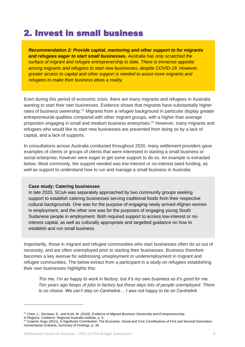## <span id="page-8-0"></span>2. Invest in small business

*Recommendation 2: Provide capital, mentoring and other support to for migrants and refugees eager to start small businesses. Australia has only scratched the surface of migrant and refugee entreprenership to date. There is immense appetite among migrants and refugees to start new businesses, despite COVID-19. However, greater access to capital and other support is needed to assist more migrants and refugees to make their business ideas a reality.*

Even during this period of economic crisis, there are many migrants and refugees in Australia wanting to start their own businesses. Evidence shows that migrants have substantially higher rates of business ownership.<sup>11</sup> Migrants from a refugee background in particular display greater entrepreneurial qualities compared with other migrant groups, with a higher than average proportion engaging in small and medium business enterprises.<sup>12</sup> However, many migrants and refugees who would like to start new businesses are prevented from doing so by a lack of capital, and a lack of supports.

In consultations across Australia conducted throughout 2020, many settlement providers gave examples of clients or groups of clients that were interested in starting a small business or social enterprise, however were eager to get some support to do so. An example is extracted below. Most commonly, the support needed was low-interest or no-interest seed funding, as well as support to understand how to run and manage a small business in Australia.

#### **Case study: Catering businesses**

In late 2020, SCoA was separately approached by two community groups seeking support to establish catering businesses serving traditional foods from their respective cultural backgrounds. One was for the purpose of engaging newly arrived Afghan women in employment, and the other one was for the purposes of engaging young South Sudanese people in employment. Both required support to access low-interest or nointerest capital, as well as culturally appropriate and targetted guidance on how to establish and run small business.

Importantly, those in migrant and refugee communities who start businesses often do so out of necessity, and are often unemployed prior to starting their businesses. Business therefore becomes a key avenue for addressing umeployment or underemployment in migrant and refugee communities. The below extract from a participant in a study on refugees establishing their own businesses highlights this:

*'For me, I'm so happy to work in factory, but it's my own business so it's good for me. Ten years ago heaps of jobs in factory but these days lots of people unemployed. There is no choice. We can't stay on Centrelink… I was not happy to be on Centrelink* 

<sup>11</sup> Chen, L.; Sinnewe, E.; and Kortt, M. (2018). *Evidence of Migrant Business Ownership and Entrepreneurship*

*in Regions*. Canberra: Regional Australia Institute, p. 5.

<sup>&</sup>lt;sup>12</sup> Graeme Hugo (2011), A Significant Contribution: The Economic, Social and Civic Contributions of First and Second Generation Humanitarian Entrants, Summary of Findings, p. 38.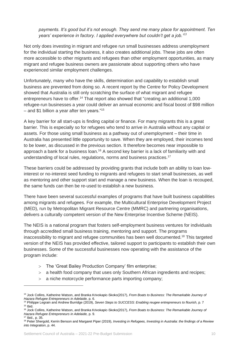*payments. It's good but it's not enough. They send me many place for appointment. Ten years' experience in factory. I applied everywhere but couldn't get a job.'<sup>13</sup>*

Not only does investing in migrant and refugee run small businesses address unemployment for the individual starting the business, it also creates additional jobs. These jobs are often more accessible to other migrants and refugees than other employment opportunities, as many migrant and refugee business owners are passionate about supporting others who have experienced similar employment challenges.

Unfortunately, many who have the skills, determination and capability to establish small business are prevented from doing so. A recent report by the Centre for Policy Development showed that Australia is still only scratching the surface of what migrant and refugee entrepreneurs have to offer.<sup>14</sup> That report also showed that "creating an additional 1,000 refugee-run businesses a year could deliver an annual economic and fiscal boost of \$98 million – and \$1 billion a year after ten years."<sup>15</sup>

A key barrier for all start-ups is finding capital or finance. For many migrants this is a great barrier. This is especially so for refugees who tend to arrive in Australia without any capital or assets. For those using small business as a pathway out of unemployment – their time in Australia has presented little opportunity to save. When they are employed, their incomes tend to be lower, as discussed in the previous section. It therefore becomes near impossible to approach a bank for a business loan.<sup>16</sup> A second key barrier is a lack of familiarity with and understanding of local rules, regulations, norms and business practices.<sup>17</sup>

These barriers could be addressed by providing grants that include both an ability to loan lowinterest or no-interest seed funding to migrants and refugees to start small businesses, as well as mentoring and other support start and manage a new business. When the loan is recouped, the same funds can then be re-used to establish a new business.

There have been several successful examples of programs that have built business capabilities among migrants and refugees. For example, the Multicultural Enterprise Development Project (MED), run by Metropolitan Migrant Resource Centre (MMRC) and partnering organisations, delivers a culturally competent version of the New Enterprise Incentive Scheme (NEIS).

The NEIS is a national program that fosters self-employment business ventures for individuals through accredited small business training, mentoring and support. The programs inaccessibility to migrant and refugee communities has been well documented.<sup>18</sup> This targeted version of the NEIS has provided effective, tailored support to participants to establish their own businesses. Some of the successful businesses now operating with the assistance of the program include:

- The 'Great Bailey Production Company' film enterprise;
- a health food company that uses only Southern African ingredients and recipes;
- a niche motorcycle performance parts importing company;

<sup>13</sup> Jock Collins, Katherine Watson, and Branka Krivokapic-Skoko(2017), *From Boats to Business: The Remarkable Journey of Hazara Refugee Entrepreneurs in Adelaide,* p. 6.

<sup>&</sup>lt;sup>14</sup> Philippe Legrain and Andrew Burridge (2019), *Seven Steps to SUCCESS: Enabling reugee entrepreneurs to flourish, p. 7*  $15$  Ibid.

<sup>16</sup> Jock Collins, Katherine Watson, and Branka Krivokapic-Skoko(2017), *From Boats to Business: The Remarkable Journey of Hazara Refugee Entrepreneurs in Adelaide,* p. 9. <sup>17</sup> Ibid., p. 35.

<sup>18</sup> Peter Shergold, Kerrin Benson and Margaret Piper (2019), *Investing in Refugees, Investing in Australia: the findings of a Review into Integration*, p. 44.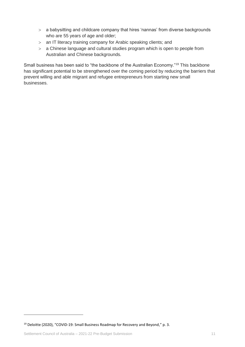- a babysitting and childcare company that hires 'nannas' from diverse backgrounds who are 55 years of age and older;
- an IT literacy training company for Arabic speaking clients; and
- a Chinese language and cultural studies program which is open to people from Australian and Chinese backgrounds.

Small business has been said to "the backbone of the Australian Economy."<sup>19</sup> This backbone has significant potential to be strengthened over the coming period by reducing the barriers that prevent willing and able migrant and refugee entrepreneurs from starting new small businesses.

 $19$  Deloitte (2020), "COVID-19: Small Business Roadmap for Recovery and Beyond," p. 3.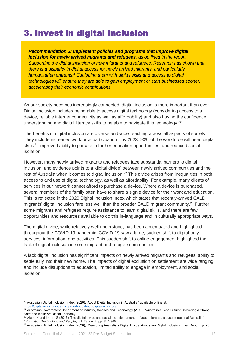## <span id="page-11-0"></span>3. Invest in digital inclusion

*Recommendation 3: Implement policies and programs that improve digital inclusion for newly arrived migrants and refugees, as outlined in the report, Supporting the digital inclusion of new migrants and refugees. Research has shown that there is a disparity in digital access for newly arrived migrants, and particularly humanitarian entrants. <sup>1</sup> Equipping them with digital skills and access to digital technologies will ensure they are able to gain employment or start businesses sooner, accelerating their economic contributions.*

As our society becomes increasingly connected, digital inclusion is more important than ever. Digital inclusion includes being able to access digital technology (considering access to a device, reliable internet connectivity as well as affordability) and also having the confidence, understanding and digital literacy skills to be able to navigate this technology.<sup>20</sup>

The benefits of digital inclusion are diverse and wide-reaching across all aspects of society. They include increased workforce participation—by 2023, 90% of the workforce will need digital skills;<sup>21</sup> improved ability to partake in further education opportunities; and reduced social isolation.

However, many newly arrived migrants and refugees face substantial barriers to digital inclusion, and evidence points to a 'digital divide' between newly arrived communities and the rest of Australia when it comes to digital inclusion.<sup>22</sup> This divide arises from inequalities in both access to and use of digital technology, as well as affordability. For example, many clients of services in our network cannot afford to purchase a device. Where a device is purchased, several members of the family often have to share a signle device for their work and education. This is reflected in the 2020 Digital Inclusion Index which states that recently-arrived CALD migrants' digital inclusion fare less well than the broader CALD migrant community.<sup>23</sup> Further, some migrants and refugees require assistance to learn digital skills, and there are few opportunities and resources available to do this in-language and in culturally appropriate ways.

The digital divide, while relatively well understood, has been accentuated and highlighted throughout the COVID-19 pandemic. COVID-19 saw a large, sudden shift to digital-only services, information, and activities. This sudden shift to online engagement highlighted the lack of digital inclusion in some migrant and refugee communities.

A lack digital inclusion has significant impacts on newly arrived migrants and refugees' ability to settle fully into their new home. The impacts of digital exclusion on settlement are wide ranging and include disruptions to education, limited ability to engage in employment, and social isolation.

<sup>&</sup>lt;sup>20</sup> Australian Digital Inclusion Index (2020), 'About Digital Inclusion in Australia,' available online at: [https://digitalinclusionindex.org.au/about/about-digital-inclusion/.](https://digitalinclusionindex.org.au/about/about-digital-inclusion/)

 $^{21}$  Australian Government Department of Industry, Science and Technology (2018), 'Australia's Tech Future: Delivering a Strong, Safe and Inclusive Digital Economy.'

<sup>22</sup> Alam, K and Imran, S (2015) 'The digital divide and social inclusion among refugee migrants: a case in regional Australia,' *Information Technology and People*, vol. 28, no. 2, pp. 344-365.

<sup>&</sup>lt;sup>23</sup> Australian Digital Inclusion Index (2020), 'Measuring Australia's Digital Divide: Australian Digital Inclusion Index Report,' p. 20.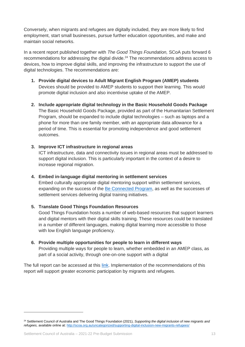Conversely, when migrants and refugees are digitally included, they are more likely to find employment, start small businesses, pursue further education opportunities, and make and maintain social networks.

In a recent report published together with *The Good Things Foundation,* SCoA puts forward 6 recommendations for addressing the digital divide.<sup>24</sup> The recommendations address access to devices, how to improve digital skills, and improving the infrastructure to support the use of digital technologies. The recommendations are:

- **1. Provide digital devices to Adult Migrant English Program (AMEP) students**  Devices should be provided to AMEP students to support their learning. This would promote digital inclusion and also incentivise uptake of the AMEP.
- **2. Include appropriate digital technology in the Basic Household Goods Package** The Basic Household Goods Package, provided as part of the Humanitarian Settlement Program, should be expanded to include digital technologies – such as laptops and a phone for more than one family member, with an appropriate data allowance for a period of time. This is essential for promoting independence and good settlement outcomes.
- **3. Improve ICT infrastructure in regional areas**

ICT infrastructure, data and connectivity issues in regional areas must be addressed to support digital inclusion. This is particularly important in the context of a desire to increase regional migration.

**4. Embed in-language digital mentoring in settlement services**

Embed culturally appropriate digital mentoring support within settlement services, expanding on the success of the [Be Connected Program,](https://beconnected.esafety.gov.au/) as well as the successes of settlement services delivering digital training initiatives.

**5. Translate Good Things Foundation Resources**

Good Things Foundation hosts a number of web-based resources that support learners and digital mentors with their digital skills training. These resources could be translated in a number of different languages, making digital learning more accessible to those with low English language proficiency.

**6. Provide multiple opportunities for people to learn in different ways** Providing multiple ways for people to learn, whether embedded in an AMEP class, as part of a social activity, through one-on-one support with a digital

The full report can be accessed at this [link.](http://scoa.org.au/uncategorized/supporting-digital-inclusion-new-migrants-refugees/) Implementation of the recommendations of this report will support greater economic participation by migrants and refugees.

<sup>24</sup> Settlement Council of Australia and The Good Things Foundation (2021), *Supporting the digital inclusion of new migrants and refugees,* available online at: <http://scoa.org.au/uncategorized/supporting-digital-inclusion-new-migrants-refugees/>